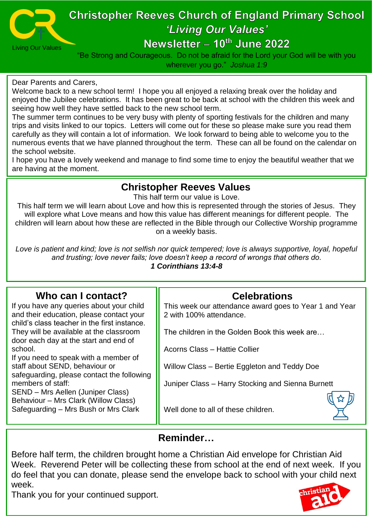

# **Christopher Reeves Church of England Primary School** 'Living Our Values'

# Newsletter - 10th June 2022

"Be Strong and Courageous. Do not be afraid for the Lord your God will be with you wherever you go." *Joshua 1:9*

#### Dear Parents and Carers,

Welcome back to a new school term! I hope you all enjoyed a relaxing break over the holiday and enjoyed the Jubilee celebrations. It has been great to be back at school with the children this week and seeing how well they have settled back to the new school term.

The summer term continues to be very busy with plenty of sporting festivals for the children and many trips and visits linked to our topics. Letters will come out for these so please make sure you read them carefully as they will contain a lot of information. We look forward to being able to welcome you to the numerous events that we have planned throughout the term. These can all be found on the calendar on the school website.

I hope you have a lovely weekend and manage to find some time to enjoy the beautiful weather that we are having at the moment.

#### **Christopher Reeves Values**

This half term our value is Love.

This half term we will learn about Love and how this is represented through the stories of Jesus. They will explore what Love means and how this value has different meanings for different people. The children will learn about how these are reflected in the Bible through our Collective Worship programme on a weekly basis.

*Love is patient and kind; love is not selfish nor quick tempered; love is always supportive, loyal, hopeful and trusting; love never fails; love doesn't keep a record of wrongs that others do. 1 Corinthians 13:4-8*

### **Who can I contact?**

If you have any queries about your child and their education, please contact your child's class teacher in the first instance. They will be available at the classroom door each day at the start and end of school.

If you need to speak with a member of staff about SEND, behaviour or safeguarding, please contact the following members of staff:

SEND – Mrs Aellen (Juniper Class) Behaviour – Mrs Clark (Willow Class) Safeguarding – Mrs Bush or Mrs Clark

# **Celebrations**

This week our attendance award goes to Year 1 and Year 2 with 100% attendance.

The children in the Golden Book this week are…

Acorns Class – Hattie Collier

Willow Class – Bertie Eggleton and Teddy Doe

Juniper Class – Harry Stocking and Sienna Burnett

Well done to all of these children.

#### **Reminder…**

Before half term, the children brought home a Christian Aid envelope for Christian Aid Week. Reverend Peter will be collecting these from school at the end of next week. If you do feel that you can donate, please send the envelope back to school with your child next week.

Thank you for your continued support.

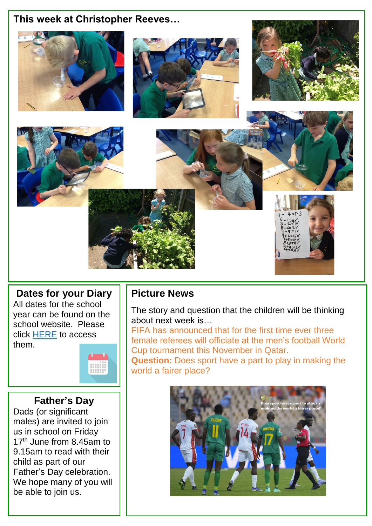# **This week at Christopher Reeves…**



## **Dates for your Diary**

All dates for the school year can be found on the school website. Please click [HERE](https://www.christopher-reeves-school.co.uk/news-and-events/calendar) to access them.



#### **Father's Day**

Dads (or significant males) are invited to join us in school on Friday 17<sup>th</sup> June from 8.45am to 9.15am to read with their child as part of our Father's Day celebration. We hope many of you will be able to join us.

### **Picture News**

The story and question that the children will be thinking about next week is…

FIFA has announced that for the first time ever three female referees will officiate at the men's football World Cup tournament this November in Qatar.

**Question:** Does sport have a part to play in making the world a fairer place?